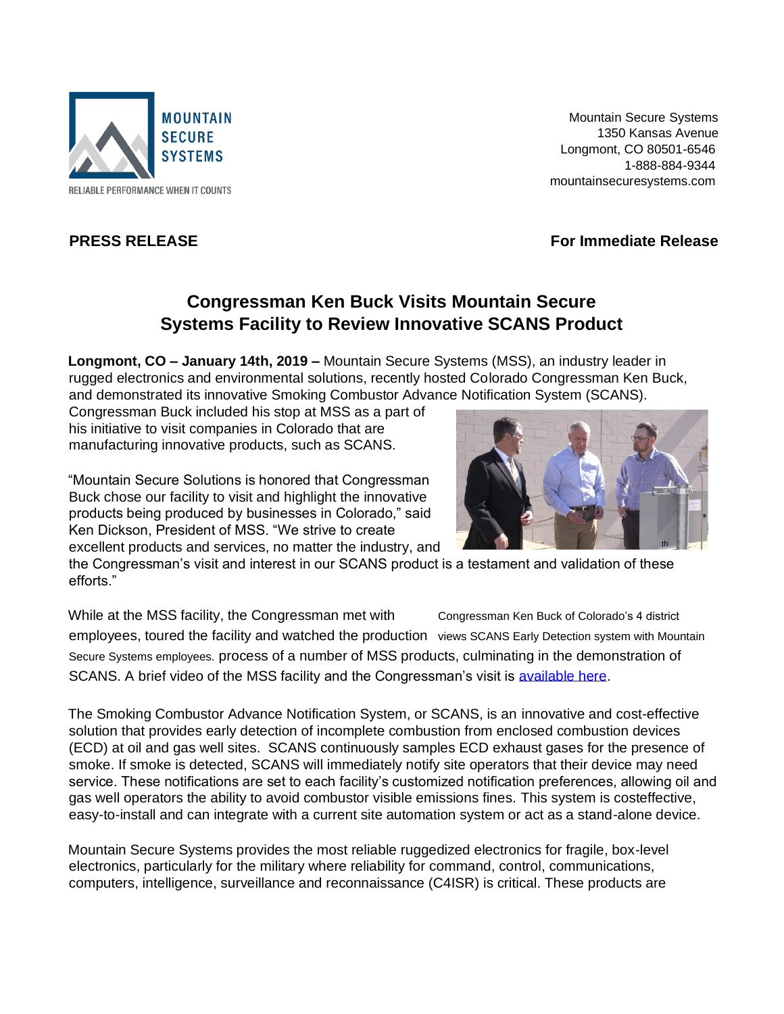

 Mountain Secure Systems 1350 Kansas Avenue Longmont, CO 80501-6546 1-888-884-9344 mountainsecuresystems.com

**PRESS RELEASE** For Immediate Release **For Immediate Release** 

## **Congressman Ken Buck Visits Mountain Secure Systems Facility to Review Innovative SCANS Product**

**Longmont, CO – January 14th, 2019 –** Mountain Secure Systems (MSS), an industry leader in rugged electronics and environmental solutions, recently hosted Colorado Congressman Ken Buck, and demonstrated its innovative Smoking Combustor Advance Notification System (SCANS).

Congressman Buck included his stop at MSS as a part of his initiative to visit companies in Colorado that are manufacturing innovative products, such as SCANS.

"Mountain Secure Solutions is honored that Congressman Buck chose our facility to visit and highlight the innovative products being produced by businesses in Colorado," said Ken Dickson, President of MSS. "We strive to create excellent products and services, no matter the industry, and



the Congressman's visit and interest in our SCANS product is a testament and validation of these efforts."

While at the MSS facility, the Congressman met with Congressman Ken Buck of Colorado's 4 district employees, toured the facility and watched the production views SCANS Early Detection system with Mountain Secure Systems employees. process of a number of MSS products, culminating in the demonstration of SCANS. A brief video of the MSS facility and the Congressman's visit is available here.

The Smoking Combustor Advance Notification System, or SCANS, is an innovative and cost-effective solution that provides early detection of incomplete combustion from enclosed combustion devices (ECD) at oil and gas well sites. SCANS continuously samples ECD exhaust gases for the presence of smoke. If smoke is detected, SCANS will immediately notify site operators that their device may need service. These notifications are set to each facility's customized notification preferences, allowing oil and gas well operators the ability to avoid combustor visible emissions fines. This system is costeffective, easy-to-install and can integrate with a current site automation system or act as a stand-alone device.

Mountain Secure Systems provides the most reliable ruggedized electronics for fragile, box-level electronics, particularly for the military where reliability for command, control, communications, computers, intelligence, surveillance and reconnaissance (C4ISR) is critical. These products are